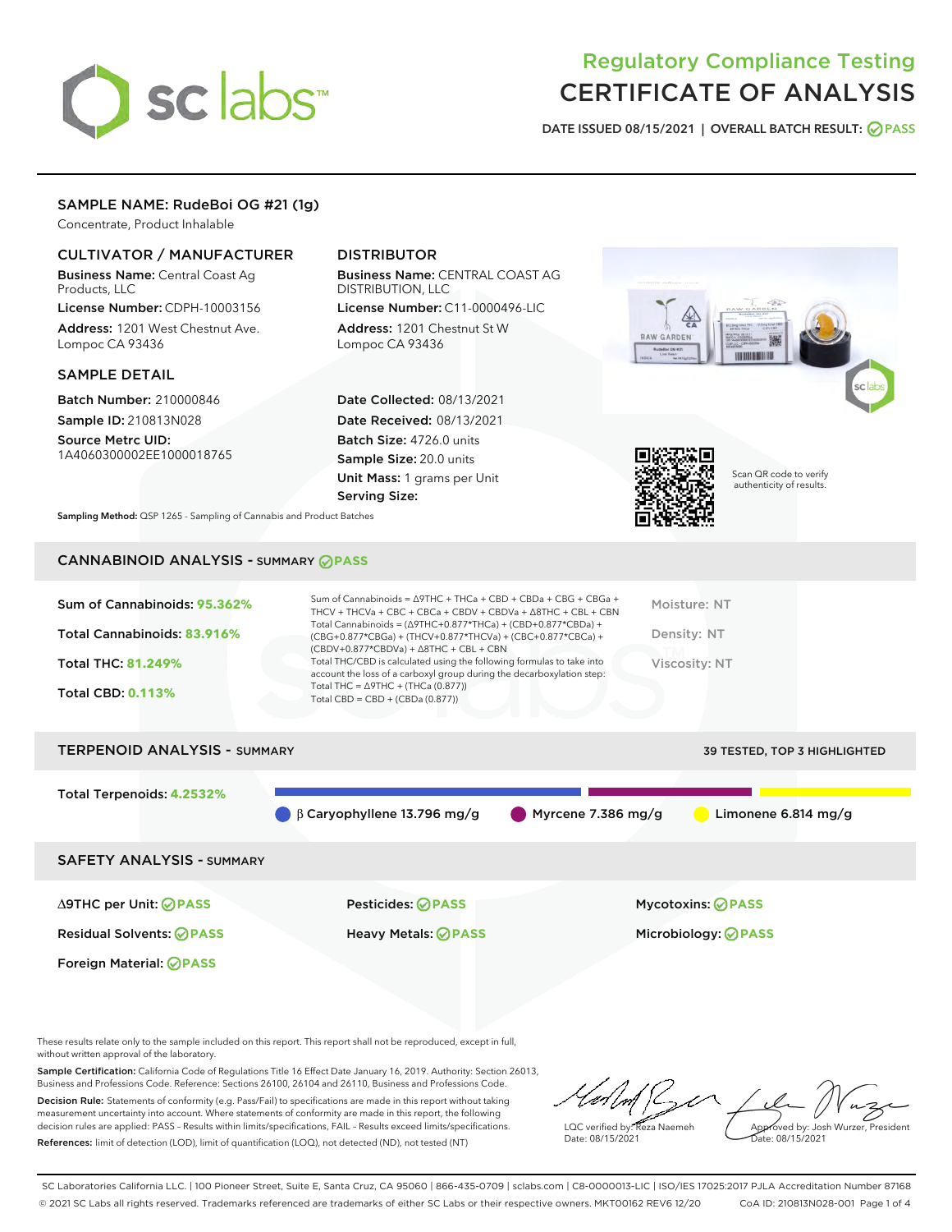# sclabs<sup>\*</sup>

# Regulatory Compliance Testing CERTIFICATE OF ANALYSIS

DATE ISSUED 08/15/2021 | OVERALL BATCH RESULT: @ PASS

# SAMPLE NAME: RudeBoi OG #21 (1g)

Concentrate, Product Inhalable

# CULTIVATOR / MANUFACTURER

Business Name: Central Coast Ag Products, LLC

License Number: CDPH-10003156 Address: 1201 West Chestnut Ave. Lompoc CA 93436

#### SAMPLE DETAIL

Batch Number: 210000846 Sample ID: 210813N028

Source Metrc UID: 1A4060300002EE1000018765

# DISTRIBUTOR

Business Name: CENTRAL COAST AG DISTRIBUTION, LLC

License Number: C11-0000496-LIC Address: 1201 Chestnut St W Lompoc CA 93436

Date Collected: 08/13/2021 Date Received: 08/13/2021 Batch Size: 4726.0 units Sample Size: 20.0 units Unit Mass: 1 grams per Unit Serving Size:





Scan QR code to verify authenticity of results.

Sampling Method: QSP 1265 - Sampling of Cannabis and Product Batches

# CANNABINOID ANALYSIS - SUMMARY **PASS**

| Sum of Cannabinoids: 95.362% | Sum of Cannabinoids = $\triangle$ 9THC + THCa + CBD + CBDa + CBG + CBGa +<br>THCV + THCVa + CBC + CBCa + CBDV + CBDVa + $\Delta$ 8THC + CBL + CBN                                    | Moisture: NT  |
|------------------------------|--------------------------------------------------------------------------------------------------------------------------------------------------------------------------------------|---------------|
| Total Cannabinoids: 83.916%  | Total Cannabinoids = $(\Delta$ 9THC+0.877*THCa) + (CBD+0.877*CBDa) +<br>(CBG+0.877*CBGa) + (THCV+0.877*THCVa) + (CBC+0.877*CBCa) +<br>$(CBDV+0.877*CBDVa) + \Delta 8THC + CBL + CBN$ | Density: NT   |
| Total THC: 81.249%           | Total THC/CBD is calculated using the following formulas to take into<br>account the loss of a carboxyl group during the decarboxylation step:                                       | Viscosity: NT |
| <b>Total CBD: 0.113%</b>     | Total THC = $\triangle$ 9THC + (THCa (0.877))<br>Total CBD = $CBD + (CBDa (0.877))$                                                                                                  |               |
|                              |                                                                                                                                                                                      |               |

# TERPENOID ANALYSIS - SUMMARY 39 TESTED, TOP 3 HIGHLIGHTED Total Terpenoids: **4.2532%** β Caryophyllene 13.796 mg/g Myrcene 7.386 mg/g Limonene 6.814 mg/g SAFETY ANALYSIS - SUMMARY

Foreign Material: **PASS**

∆9THC per Unit: **PASS** Pesticides: **PASS** Mycotoxins: **PASS**

Residual Solvents: **PASS** Heavy Metals: **PASS** Microbiology: **PASS**

These results relate only to the sample included on this report. This report shall not be reproduced, except in full, without written approval of the laboratory.

Sample Certification: California Code of Regulations Title 16 Effect Date January 16, 2019. Authority: Section 26013, Business and Professions Code. Reference: Sections 26100, 26104 and 26110, Business and Professions Code. Decision Rule: Statements of conformity (e.g. Pass/Fail) to specifications are made in this report without taking measurement uncertainty into account. Where statements of conformity are made in this report, the following decision rules are applied: PASS – Results within limits/specifications, FAIL – Results exceed limits/specifications.

References: limit of detection (LOD), limit of quantification (LOQ), not detected (ND), not tested (NT)

LQC verified by: Reza Naemeh Date: 08/15/2021 Approved by: Josh Wurzer, President Date: 08/15/2021

SC Laboratories California LLC. | 100 Pioneer Street, Suite E, Santa Cruz, CA 95060 | 866-435-0709 | sclabs.com | C8-0000013-LIC | ISO/IES 17025:2017 PJLA Accreditation Number 87168 © 2021 SC Labs all rights reserved. Trademarks referenced are trademarks of either SC Labs or their respective owners. MKT00162 REV6 12/20 CoA ID: 210813N028-001 Page 1 of 4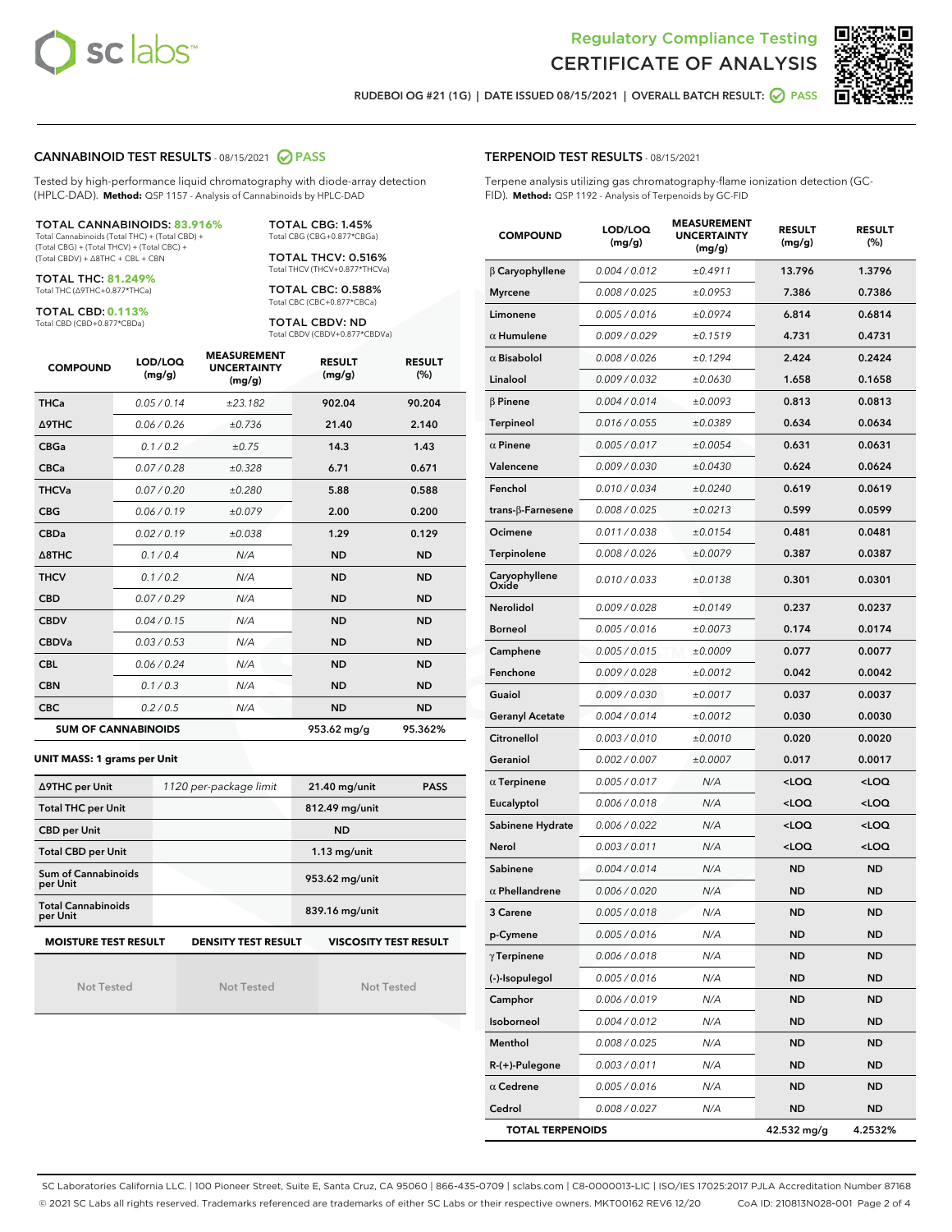



RUDEBOI OG #21 (1G) | DATE ISSUED 08/15/2021 | OVERALL BATCH RESULT: **● PASS** 

#### CANNABINOID TEST RESULTS - 08/15/2021 2 PASS

Tested by high-performance liquid chromatography with diode-array detection (HPLC-DAD). **Method:** QSP 1157 - Analysis of Cannabinoids by HPLC-DAD

#### TOTAL CANNABINOIDS: **83.916%**

Total Cannabinoids (Total THC) + (Total CBD) + (Total CBG) + (Total THCV) + (Total CBC) + (Total CBDV) + ∆8THC + CBL + CBN

TOTAL THC: **81.249%** Total THC (∆9THC+0.877\*THCa)

TOTAL CBD: **0.113%**

Total CBD (CBD+0.877\*CBDa)

TOTAL CBG: 1.45% Total CBG (CBG+0.877\*CBGa)

TOTAL THCV: 0.516% Total THCV (THCV+0.877\*THCVa)

TOTAL CBC: 0.588% Total CBC (CBC+0.877\*CBCa)

TOTAL CBDV: ND Total CBDV (CBDV+0.877\*CBDVa)

| <b>COMPOUND</b> | LOD/LOQ<br>(mg/g)          | <b>MEASUREMENT</b><br><b>UNCERTAINTY</b><br>(mg/g) | <b>RESULT</b><br>(mg/g) | <b>RESULT</b><br>(%) |
|-----------------|----------------------------|----------------------------------------------------|-------------------------|----------------------|
| <b>THCa</b>     | 0.05/0.14                  | ±23.182                                            | 902.04                  | 90.204               |
| <b>A9THC</b>    | 0.06 / 0.26                | ±0.736                                             | 21.40                   | 2.140                |
| <b>CBGa</b>     | 0.1 / 0.2                  | ±0.75                                              | 14.3                    | 1.43                 |
| <b>CBCa</b>     | 0.07/0.28                  | ±0.328                                             | 6.71                    | 0.671                |
| <b>THCVa</b>    | 0.07/0.20                  | ±0.280                                             | 5.88                    | 0.588                |
| <b>CBG</b>      | 0.06/0.19                  | ±0.079                                             | 2.00                    | 0.200                |
| <b>CBDa</b>     | 0.02/0.19                  | ±0.038                                             | 1.29                    | 0.129                |
| A8THC           | 0.1/0.4                    | N/A                                                | <b>ND</b>               | <b>ND</b>            |
| <b>THCV</b>     | 0.1/0.2                    | N/A                                                | <b>ND</b>               | <b>ND</b>            |
| <b>CBD</b>      | 0.07/0.29                  | N/A                                                | <b>ND</b>               | <b>ND</b>            |
| <b>CBDV</b>     | 0.04 / 0.15                | N/A                                                | <b>ND</b>               | <b>ND</b>            |
| <b>CBDVa</b>    | 0.03/0.53                  | N/A                                                | <b>ND</b>               | <b>ND</b>            |
| <b>CBL</b>      | 0.06 / 0.24                | N/A                                                | <b>ND</b>               | <b>ND</b>            |
| <b>CBN</b>      | 0.1/0.3                    | N/A                                                | <b>ND</b>               | <b>ND</b>            |
| <b>CBC</b>      | 0.2 / 0.5                  | N/A                                                | <b>ND</b>               | <b>ND</b>            |
|                 | <b>SUM OF CANNABINOIDS</b> |                                                    | 953.62 mg/g             | 95.362%              |

#### **UNIT MASS: 1 grams per Unit**

| ∆9THC per Unit                                                                            | 1120 per-package limit | $21.40$ mg/unit<br><b>PASS</b> |  |  |  |
|-------------------------------------------------------------------------------------------|------------------------|--------------------------------|--|--|--|
| <b>Total THC per Unit</b>                                                                 |                        | 812.49 mg/unit                 |  |  |  |
| <b>CBD</b> per Unit                                                                       |                        | <b>ND</b>                      |  |  |  |
| <b>Total CBD per Unit</b>                                                                 |                        | $1.13$ mg/unit                 |  |  |  |
| Sum of Cannabinoids<br>per Unit                                                           |                        | 953.62 mg/unit                 |  |  |  |
| <b>Total Cannabinoids</b><br>per Unit                                                     |                        | 839.16 mg/unit                 |  |  |  |
| <b>MOISTURE TEST RESULT</b><br><b>VISCOSITY TEST RESULT</b><br><b>DENSITY TEST RESULT</b> |                        |                                |  |  |  |

Not Tested

Not Tested

Not Tested

#### TERPENOID TEST RESULTS - 08/15/2021

Terpene analysis utilizing gas chromatography-flame ionization detection (GC-FID). **Method:** QSP 1192 - Analysis of Terpenoids by GC-FID

| <b>COMPOUND</b>         | LOD/LOQ<br>(mg/g) | <b>MEASUREMENT</b><br><b>UNCERTAINTY</b><br>(mg/g) | <b>RESULT</b><br>(mg/g)                         | <b>RESULT</b><br>$(\%)$ |
|-------------------------|-------------------|----------------------------------------------------|-------------------------------------------------|-------------------------|
| $\beta$ Caryophyllene   | 0.004 / 0.012     | ±0.4911                                            | 13.796                                          | 1.3796                  |
| <b>Myrcene</b>          | 0.008 / 0.025     | ±0.0953                                            | 7.386                                           | 0.7386                  |
| Limonene                | 0.005 / 0.016     | ±0.0974                                            | 6.814                                           | 0.6814                  |
| $\alpha$ Humulene       | 0.009 / 0.029     | ±0.1519                                            | 4.731                                           | 0.4731                  |
| $\alpha$ Bisabolol      | 0.008 / 0.026     | ±0.1294                                            | 2.424                                           | 0.2424                  |
| Linalool                | 0.009 / 0.032     | ±0.0630                                            | 1.658                                           | 0.1658                  |
| $\beta$ Pinene          | 0.004 / 0.014     | ±0.0093                                            | 0.813                                           | 0.0813                  |
| Terpineol               | 0.016 / 0.055     | ±0.0389                                            | 0.634                                           | 0.0634                  |
| $\alpha$ Pinene         | 0.005 / 0.017     | ±0.0054                                            | 0.631                                           | 0.0631                  |
| Valencene               | 0.009 / 0.030     | ±0.0430                                            | 0.624                                           | 0.0624                  |
| Fenchol                 | 0.010 / 0.034     | ±0.0240                                            | 0.619                                           | 0.0619                  |
| trans-β-Farnesene       | 0.008 / 0.025     | ±0.0213                                            | 0.599                                           | 0.0599                  |
| Ocimene                 | 0.011 / 0.038     | ±0.0154                                            | 0.481                                           | 0.0481                  |
| Terpinolene             | 0.008 / 0.026     | ±0.0079                                            | 0.387                                           | 0.0387                  |
| Caryophyllene<br>Oxide  | 0.010 / 0.033     | ±0.0138                                            | 0.301                                           | 0.0301                  |
| Nerolidol               | 0.009 / 0.028     | ±0.0149                                            | 0.237                                           | 0.0237                  |
| <b>Borneol</b>          | 0.005 / 0.016     | ±0.0073                                            | 0.174                                           | 0.0174                  |
| Camphene                | 0.005 / 0.015     | ±0.0009                                            | 0.077                                           | 0.0077                  |
| Fenchone                | 0.009 / 0.028     | ±0.0012                                            | 0.042                                           | 0.0042                  |
| Guaiol                  | 0.009 / 0.030     | ±0.0017                                            | 0.037                                           | 0.0037                  |
| <b>Geranyl Acetate</b>  | 0.004 / 0.014     | ±0.0012                                            | 0.030                                           | 0.0030                  |
| Citronellol             | 0.003 / 0.010     | ±0.0010                                            | 0.020                                           | 0.0020                  |
| Geraniol                | 0.002 / 0.007     | ±0.0007                                            | 0.017                                           | 0.0017                  |
| $\alpha$ Terpinene      | 0.005 / 0.017     | N/A                                                | <loq< th=""><th><loq< th=""></loq<></th></loq<> | <loq< th=""></loq<>     |
| Eucalyptol              | 0.006 / 0.018     | N/A                                                | <loq< th=""><th><loq< th=""></loq<></th></loq<> | <loq< th=""></loq<>     |
| Sabinene Hydrate        | 0.006 / 0.022     | N/A                                                | <loq< th=""><th><loq< th=""></loq<></th></loq<> | <loq< th=""></loq<>     |
| Nerol                   | 0.003 / 0.011     | N/A                                                | <loq< th=""><th><loq< th=""></loq<></th></loq<> | <loq< th=""></loq<>     |
| Sabinene                | 0.004 / 0.014     | N/A                                                | ND                                              | <b>ND</b>               |
| $\alpha$ Phellandrene   | 0.006 / 0.020     | N/A                                                | <b>ND</b>                                       | <b>ND</b>               |
| 3 Carene                | 0.005 / 0.018     | N/A                                                | <b>ND</b>                                       | <b>ND</b>               |
| p-Cymene                | 0.005 / 0.016     | N/A                                                | ND                                              | ND                      |
| $\gamma$ Terpinene      | 0.006 / 0.018     | N/A                                                | ND                                              | <b>ND</b>               |
| (-)-Isopulegol          | 0.005 / 0.016     | N/A                                                | ND                                              | <b>ND</b>               |
| Camphor                 | 0.006 / 0.019     | N/A                                                | ND                                              | ND                      |
| Isoborneol              | 0.004 / 0.012     | N/A                                                | ND                                              | ND                      |
| Menthol                 | 0.008 / 0.025     | N/A                                                | ND                                              | <b>ND</b>               |
| R-(+)-Pulegone          | 0.003 / 0.011     | N/A                                                | ND                                              | ND                      |
| $\alpha$ Cedrene        | 0.005 / 0.016     | N/A                                                | ND                                              | ND                      |
| Cedrol                  | 0.008 / 0.027     | N/A                                                | ND                                              | <b>ND</b>               |
| <b>TOTAL TERPENOIDS</b> |                   |                                                    | 42.532 mg/g                                     | 4.2532%                 |

SC Laboratories California LLC. | 100 Pioneer Street, Suite E, Santa Cruz, CA 95060 | 866-435-0709 | sclabs.com | C8-0000013-LIC | ISO/IES 17025:2017 PJLA Accreditation Number 87168 © 2021 SC Labs all rights reserved. Trademarks referenced are trademarks of either SC Labs or their respective owners. MKT00162 REV6 12/20 CoA ID: 210813N028-001 Page 2 of 4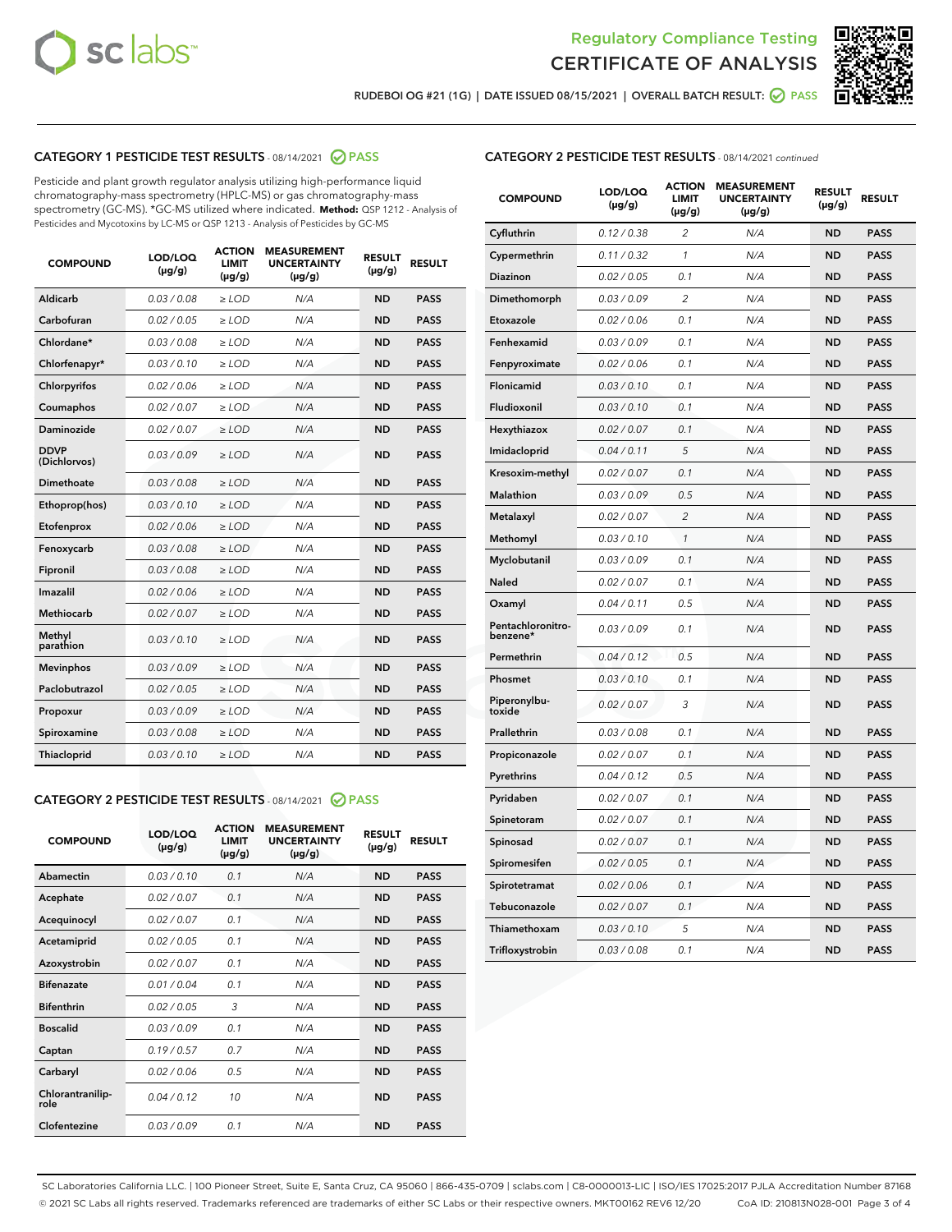



RUDEBOI OG #21 (1G) | DATE ISSUED 08/15/2021 | OVERALL BATCH RESULT:  $\bigcirc$  PASS

# CATEGORY 1 PESTICIDE TEST RESULTS - 08/14/2021 2 PASS

Pesticide and plant growth regulator analysis utilizing high-performance liquid chromatography-mass spectrometry (HPLC-MS) or gas chromatography-mass spectrometry (GC-MS). \*GC-MS utilized where indicated. **Method:** QSP 1212 - Analysis of Pesticides and Mycotoxins by LC-MS or QSP 1213 - Analysis of Pesticides by GC-MS

| <b>COMPOUND</b>             | LOD/LOQ<br>$(\mu g/g)$ | <b>ACTION</b><br><b>LIMIT</b><br>$(\mu g/g)$ | <b>MEASUREMENT</b><br><b>UNCERTAINTY</b><br>$(\mu g/g)$ | <b>RESULT</b><br>$(\mu g/g)$ | <b>RESULT</b> |
|-----------------------------|------------------------|----------------------------------------------|---------------------------------------------------------|------------------------------|---------------|
| Aldicarb                    | 0.03 / 0.08            | $\ge$ LOD                                    | N/A                                                     | <b>ND</b>                    | <b>PASS</b>   |
| Carbofuran                  | 0.02 / 0.05            | $\geq$ LOD                                   | N/A                                                     | <b>ND</b>                    | <b>PASS</b>   |
| Chlordane*                  | 0.03 / 0.08            | $\ge$ LOD                                    | N/A                                                     | <b>ND</b>                    | <b>PASS</b>   |
| Chlorfenapyr*               | 0.03/0.10              | $\geq$ LOD                                   | N/A                                                     | <b>ND</b>                    | <b>PASS</b>   |
| Chlorpyrifos                | 0.02 / 0.06            | $\ge$ LOD                                    | N/A                                                     | <b>ND</b>                    | <b>PASS</b>   |
| Coumaphos                   | 0.02 / 0.07            | $\ge$ LOD                                    | N/A                                                     | <b>ND</b>                    | <b>PASS</b>   |
| Daminozide                  | 0.02 / 0.07            | $\ge$ LOD                                    | N/A                                                     | <b>ND</b>                    | <b>PASS</b>   |
| <b>DDVP</b><br>(Dichlorvos) | 0.03/0.09              | $>$ LOD                                      | N/A                                                     | <b>ND</b>                    | <b>PASS</b>   |
| Dimethoate                  | 0.03/0.08              | $\ge$ LOD                                    | N/A                                                     | <b>ND</b>                    | <b>PASS</b>   |
| Ethoprop(hos)               | 0.03/0.10              | $>$ LOD                                      | N/A                                                     | <b>ND</b>                    | <b>PASS</b>   |
| Etofenprox                  | 0.02 / 0.06            | $\ge$ LOD                                    | N/A                                                     | <b>ND</b>                    | <b>PASS</b>   |
| Fenoxycarb                  | 0.03/0.08              | $\ge$ LOD                                    | N/A                                                     | <b>ND</b>                    | <b>PASS</b>   |
| Fipronil                    | 0.03/0.08              | $\ge$ LOD                                    | N/A                                                     | <b>ND</b>                    | <b>PASS</b>   |
| Imazalil                    | 0.02 / 0.06            | $>$ LOD                                      | N/A                                                     | <b>ND</b>                    | <b>PASS</b>   |
| <b>Methiocarb</b>           | 0.02 / 0.07            | $\ge$ LOD                                    | N/A                                                     | <b>ND</b>                    | <b>PASS</b>   |
| Methyl<br>parathion         | 0.03/0.10              | $\ge$ LOD                                    | N/A                                                     | <b>ND</b>                    | <b>PASS</b>   |
| <b>Mevinphos</b>            | 0.03/0.09              | $\ge$ LOD                                    | N/A                                                     | <b>ND</b>                    | <b>PASS</b>   |
| Paclobutrazol               | 0.02 / 0.05            | $>$ LOD                                      | N/A                                                     | <b>ND</b>                    | <b>PASS</b>   |
| Propoxur                    | 0.03/0.09              | $\ge$ LOD                                    | N/A                                                     | <b>ND</b>                    | <b>PASS</b>   |
| Spiroxamine                 | 0.03/0.08              | $\ge$ LOD                                    | N/A                                                     | <b>ND</b>                    | <b>PASS</b>   |
| Thiacloprid                 | 0.03/0.10              | $\ge$ LOD                                    | N/A                                                     | <b>ND</b>                    | <b>PASS</b>   |

#### CATEGORY 2 PESTICIDE TEST RESULTS - 08/14/2021 @ PASS

| <b>COMPOUND</b>          | LOD/LOO<br>$(\mu g/g)$ | <b>ACTION</b><br>LIMIT<br>$(\mu g/g)$ | <b>MEASUREMENT</b><br><b>UNCERTAINTY</b><br>$(\mu g/g)$ | <b>RESULT</b><br>$(\mu g/g)$ | <b>RESULT</b> |
|--------------------------|------------------------|---------------------------------------|---------------------------------------------------------|------------------------------|---------------|
| Abamectin                | 0.03/0.10              | 0.1                                   | N/A                                                     | <b>ND</b>                    | <b>PASS</b>   |
| Acephate                 | 0.02/0.07              | 0.1                                   | N/A                                                     | <b>ND</b>                    | <b>PASS</b>   |
| Acequinocyl              | 0.02/0.07              | 0.1                                   | N/A                                                     | <b>ND</b>                    | <b>PASS</b>   |
| Acetamiprid              | 0.02/0.05              | 0.1                                   | N/A                                                     | <b>ND</b>                    | <b>PASS</b>   |
| Azoxystrobin             | 0.02/0.07              | 0.1                                   | N/A                                                     | <b>ND</b>                    | <b>PASS</b>   |
| <b>Bifenazate</b>        | 0.01/0.04              | 0.1                                   | N/A                                                     | <b>ND</b>                    | <b>PASS</b>   |
| <b>Bifenthrin</b>        | 0.02/0.05              | 3                                     | N/A                                                     | <b>ND</b>                    | <b>PASS</b>   |
| <b>Boscalid</b>          | 0.03/0.09              | 0.1                                   | N/A                                                     | <b>ND</b>                    | <b>PASS</b>   |
| Captan                   | 0.19/0.57              | 0.7                                   | N/A                                                     | <b>ND</b>                    | <b>PASS</b>   |
| Carbaryl                 | 0.02/0.06              | 0.5                                   | N/A                                                     | <b>ND</b>                    | <b>PASS</b>   |
| Chlorantranilip-<br>role | 0.04/0.12              | 10                                    | N/A                                                     | <b>ND</b>                    | <b>PASS</b>   |
| Clofentezine             | 0.03/0.09              | 0.1                                   | N/A                                                     | <b>ND</b>                    | <b>PASS</b>   |

| <b>CATEGORY 2 PESTICIDE TEST RESULTS</b> - 08/14/2021 continued |  |  |
|-----------------------------------------------------------------|--|--|
|                                                                 |  |  |

| <b>COMPOUND</b>               | LOD/LOQ<br>$(\mu g/g)$ | <b>ACTION</b><br><b>LIMIT</b><br>$(\mu g/g)$ | <b>MEASUREMENT</b><br><b>UNCERTAINTY</b><br>$(\mu g/g)$ | <b>RESULT</b><br>(µg/g) | <b>RESULT</b> |
|-------------------------------|------------------------|----------------------------------------------|---------------------------------------------------------|-------------------------|---------------|
| Cyfluthrin                    | 0.12 / 0.38            | $\overline{2}$                               | N/A                                                     | ND                      | <b>PASS</b>   |
| Cypermethrin                  | 0.11 / 0.32            | 1                                            | N/A                                                     | ND                      | PASS          |
| <b>Diazinon</b>               | 0.02 / 0.05            | 0.1                                          | N/A                                                     | ND                      | <b>PASS</b>   |
| Dimethomorph                  | 0.03 / 0.09            | 2                                            | N/A                                                     | <b>ND</b>               | <b>PASS</b>   |
| Etoxazole                     | 0.02 / 0.06            | 0.1                                          | N/A                                                     | ND                      | <b>PASS</b>   |
| Fenhexamid                    | 0.03 / 0.09            | 0.1                                          | N/A                                                     | ND                      | <b>PASS</b>   |
| Fenpyroximate                 | 0.02 / 0.06            | 0.1                                          | N/A                                                     | ND                      | <b>PASS</b>   |
| Flonicamid                    | 0.03 / 0.10            | 0.1                                          | N/A                                                     | ND                      | PASS          |
| Fludioxonil                   | 0.03 / 0.10            | 0.1                                          | N/A                                                     | ND                      | PASS          |
| Hexythiazox                   | 0.02 / 0.07            | 0.1                                          | N/A                                                     | ND                      | <b>PASS</b>   |
| Imidacloprid                  | 0.04 / 0.11            | 5                                            | N/A                                                     | ND                      | <b>PASS</b>   |
| Kresoxim-methyl               | 0.02 / 0.07            | 0.1                                          | N/A                                                     | ND                      | <b>PASS</b>   |
| Malathion                     | 0.03 / 0.09            | 0.5                                          | N/A                                                     | <b>ND</b>               | <b>PASS</b>   |
| Metalaxyl                     | 0.02 / 0.07            | $\overline{c}$                               | N/A                                                     | <b>ND</b>               | <b>PASS</b>   |
| Methomyl                      | 0.03 / 0.10            | 1                                            | N/A                                                     | ND                      | <b>PASS</b>   |
| Myclobutanil                  | 0.03 / 0.09            | 0.1                                          | N/A                                                     | <b>ND</b>               | <b>PASS</b>   |
| Naled                         | 0.02 / 0.07            | 0.1                                          | N/A                                                     | <b>ND</b>               | <b>PASS</b>   |
| Oxamyl                        | 0.04 / 0.11            | 0.5                                          | N/A                                                     | ND                      | PASS          |
| Pentachloronitro-<br>benzene* | 0.03 / 0.09            | 0.1                                          | N/A                                                     | ND                      | <b>PASS</b>   |
| Permethrin                    | 0.04 / 0.12            | 0.5                                          | N/A                                                     | <b>ND</b>               | <b>PASS</b>   |
| Phosmet                       | 0.03 / 0.10            | 0.1                                          | N/A                                                     | ND                      | PASS          |
| Piperonylbu-<br>toxide        | 0.02 / 0.07            | 3                                            | N/A                                                     | ND                      | <b>PASS</b>   |
| Prallethrin                   | 0.03 / 0.08            | 0.1                                          | N/A                                                     | ND                      | <b>PASS</b>   |
| Propiconazole                 | 0.02 / 0.07            | 0.1                                          | N/A                                                     | <b>ND</b>               | PASS          |
| Pyrethrins                    | 0.04 / 0.12            | 0.5                                          | N/A                                                     | ND                      | PASS          |
| Pyridaben                     | 0.02 / 0.07            | 0.1                                          | N/A                                                     | <b>ND</b>               | <b>PASS</b>   |
| Spinetoram                    | 0.02 / 0.07            | 0.1                                          | N/A                                                     | <b>ND</b>               | <b>PASS</b>   |
| Spinosad                      | 0.02 / 0.07            | 0.1                                          | N/A                                                     | ND                      | PASS          |
| Spiromesifen                  | 0.02 / 0.05            | 0.1                                          | N/A                                                     | <b>ND</b>               | <b>PASS</b>   |
| Spirotetramat                 | 0.02 / 0.06            | 0.1                                          | N/A                                                     | <b>ND</b>               | PASS          |
| Tebuconazole                  | 0.02 / 0.07            | 0.1                                          | N/A                                                     | ND                      | <b>PASS</b>   |
| Thiamethoxam                  | 0.03 / 0.10            | 5                                            | N/A                                                     | ND                      | <b>PASS</b>   |
| Trifloxystrobin               | 0.03 / 0.08            | 0.1                                          | N/A                                                     | ND                      | <b>PASS</b>   |

SC Laboratories California LLC. | 100 Pioneer Street, Suite E, Santa Cruz, CA 95060 | 866-435-0709 | sclabs.com | C8-0000013-LIC | ISO/IES 17025:2017 PJLA Accreditation Number 87168 © 2021 SC Labs all rights reserved. Trademarks referenced are trademarks of either SC Labs or their respective owners. MKT00162 REV6 12/20 CoA ID: 210813N028-001 Page 3 of 4